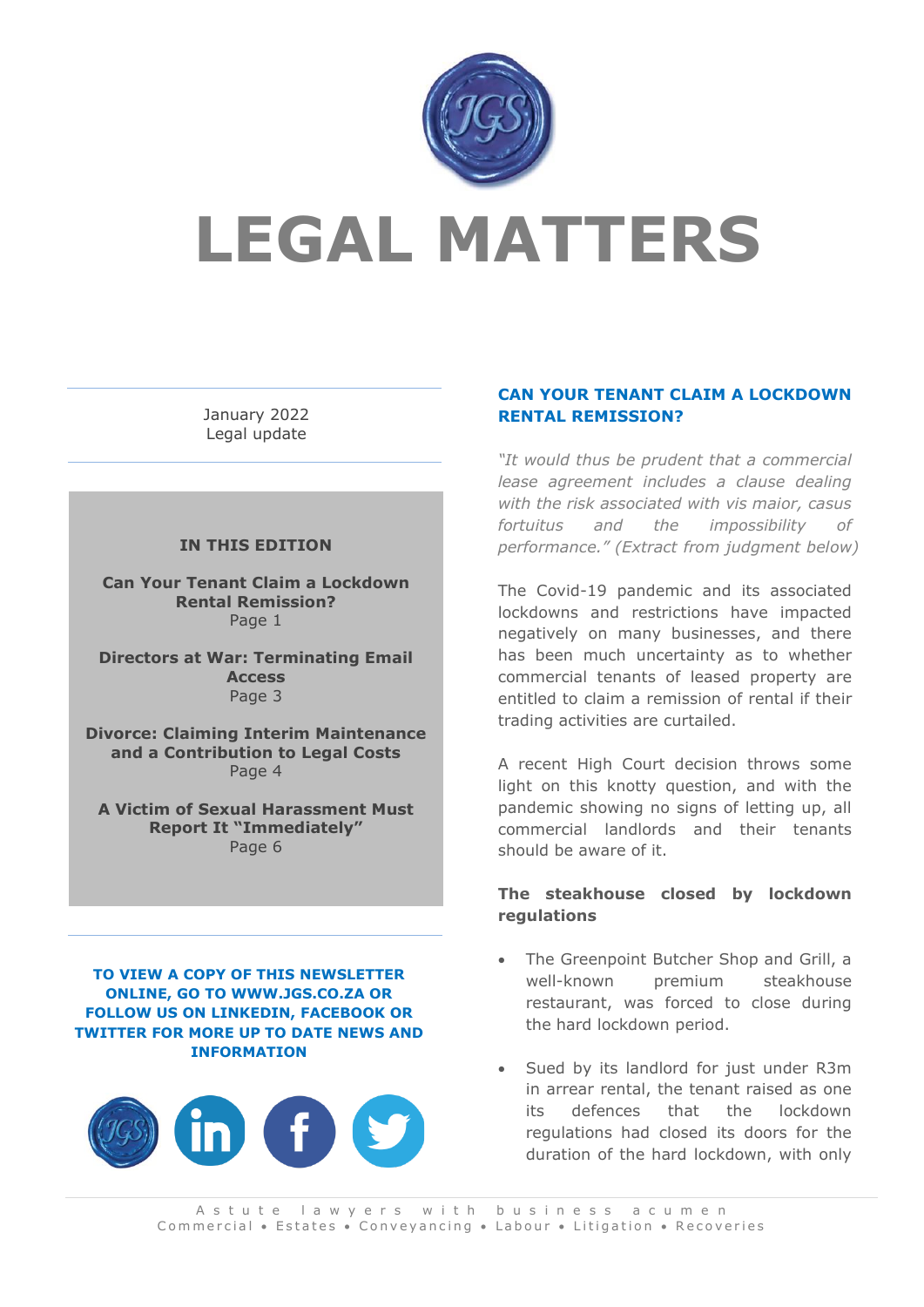

# **LEGAL MATTERS**

January 2022 Legal update

#### **IN THIS EDITION**

**Can Your Tenant Claim a Lockdown Rental Remission?** Page 1

**Directors at War: Terminating Email Access** Page 3

**Divorce: Claiming Interim Maintenance and a Contribution to Legal Costs** Page 4

**A Victim of Sexual Harassment Must Report It "Immediately"** Page 6

**TO VIEW A COPY OF THIS NEWSLETTER ONLINE, GO TO WWW.JGS.CO.ZA OR FOLLOW US ON LINKEDIN, FACEBOOK OR TWITTER FOR MORE UP TO DATE NEWS AND INFORMATION**



#### **CAN YOUR TENANT CLAIM A LOCKDOWN RENTAL REMISSION?**

*"It would thus be prudent that a commercial lease agreement includes a clause dealing with the risk associated with vis maior, casus fortuitus and the impossibility of performance." (Extract from judgment below)*

The Covid-19 pandemic and its associated lockdowns and restrictions have impacted negatively on many businesses, and there has been much uncertainty as to whether commercial tenants of leased property are entitled to claim a remission of rental if their trading activities are curtailed.

A recent High Court decision throws some light on this knotty question, and with the pandemic showing no signs of letting up, all commercial landlords and their tenants should be aware of it.

#### **The steakhouse closed by lockdown regulations**

- The Greenpoint Butcher Shop and Grill, a well-known premium steakhouse restaurant, was forced to close during the hard lockdown period.
- Sued by its landlord for just under R3m in arrear rental, the tenant raised as one its defences that the lockdown regulations had closed its doors for the duration of the hard lockdown, with only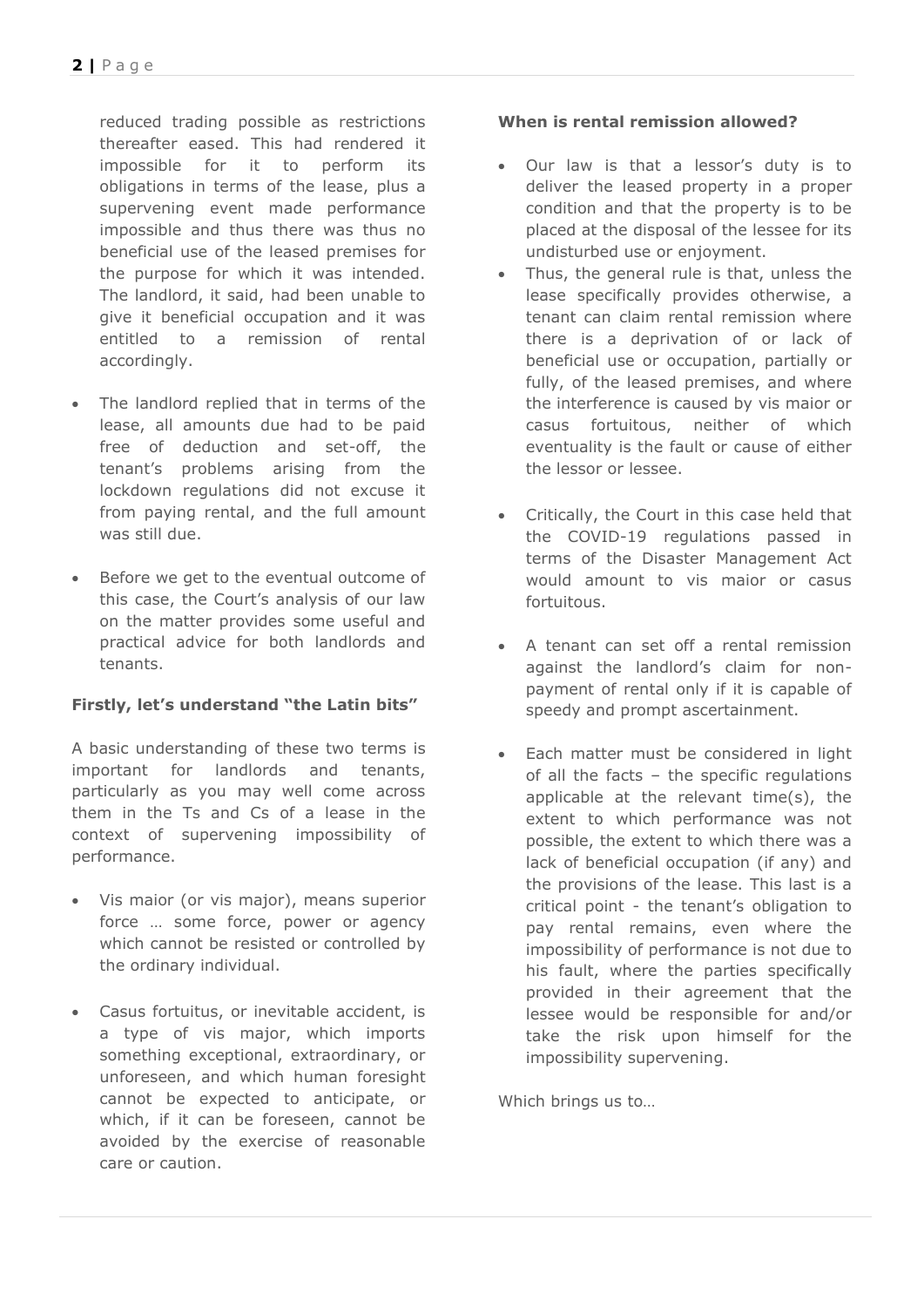reduced trading possible as restrictions thereafter eased. This had rendered it impossible for it to perform its obligations in terms of the lease, plus a supervening event made performance impossible and thus there was thus no beneficial use of the leased premises for the purpose for which it was intended. The landlord, it said, had been unable to give it beneficial occupation and it was entitled to a remission of rental accordingly.

- The landlord replied that in terms of the lease, all amounts due had to be paid free of deduction and set-off, the tenant's problems arising from the lockdown regulations did not excuse it from paying rental, and the full amount was still due.
- Before we get to the eventual outcome of this case, the Court's analysis of our law on the matter provides some useful and practical advice for both landlords and tenants.

## **Firstly, let's understand "the Latin bits"**

A basic understanding of these two terms is important for landlords and tenants, particularly as you may well come across them in the Ts and Cs of a lease in the context of supervening impossibility of performance.

- Vis maior (or vis major), means superior force … some force, power or agency which cannot be resisted or controlled by the ordinary individual.
- Casus fortuitus, or inevitable accident, is a type of vis major, which imports something exceptional, extraordinary, or unforeseen, and which human foresight cannot be expected to anticipate, or which, if it can be foreseen, cannot be avoided by the exercise of reasonable care or caution.

## **When is rental remission allowed?**

- Our law is that a lessor's duty is to deliver the leased property in a proper condition and that the property is to be placed at the disposal of the lessee for its undisturbed use or enjoyment.
- Thus, the general rule is that, unless the lease specifically provides otherwise, a tenant can claim rental remission where there is a deprivation of or lack of beneficial use or occupation, partially or fully, of the leased premises, and where the interference is caused by vis maior or casus fortuitous, neither of which eventuality is the fault or cause of either the lessor or lessee.
- Critically, the Court in this case held that the COVID-19 regulations passed in terms of the Disaster Management Act would amount to vis maior or casus fortuitous.
- A tenant can set off a rental remission against the landlord's claim for nonpayment of rental only if it is capable of speedy and prompt ascertainment.
- Each matter must be considered in light of all the facts – the specific regulations applicable at the relevant time(s), the extent to which performance was not possible, the extent to which there was a lack of beneficial occupation (if any) and the provisions of the lease. This last is a critical point - the tenant's obligation to pay rental remains, even where the impossibility of performance is not due to his fault, where the parties specifically provided in their agreement that the lessee would be responsible for and/or take the risk upon himself for the impossibility supervening.

Which brings us to…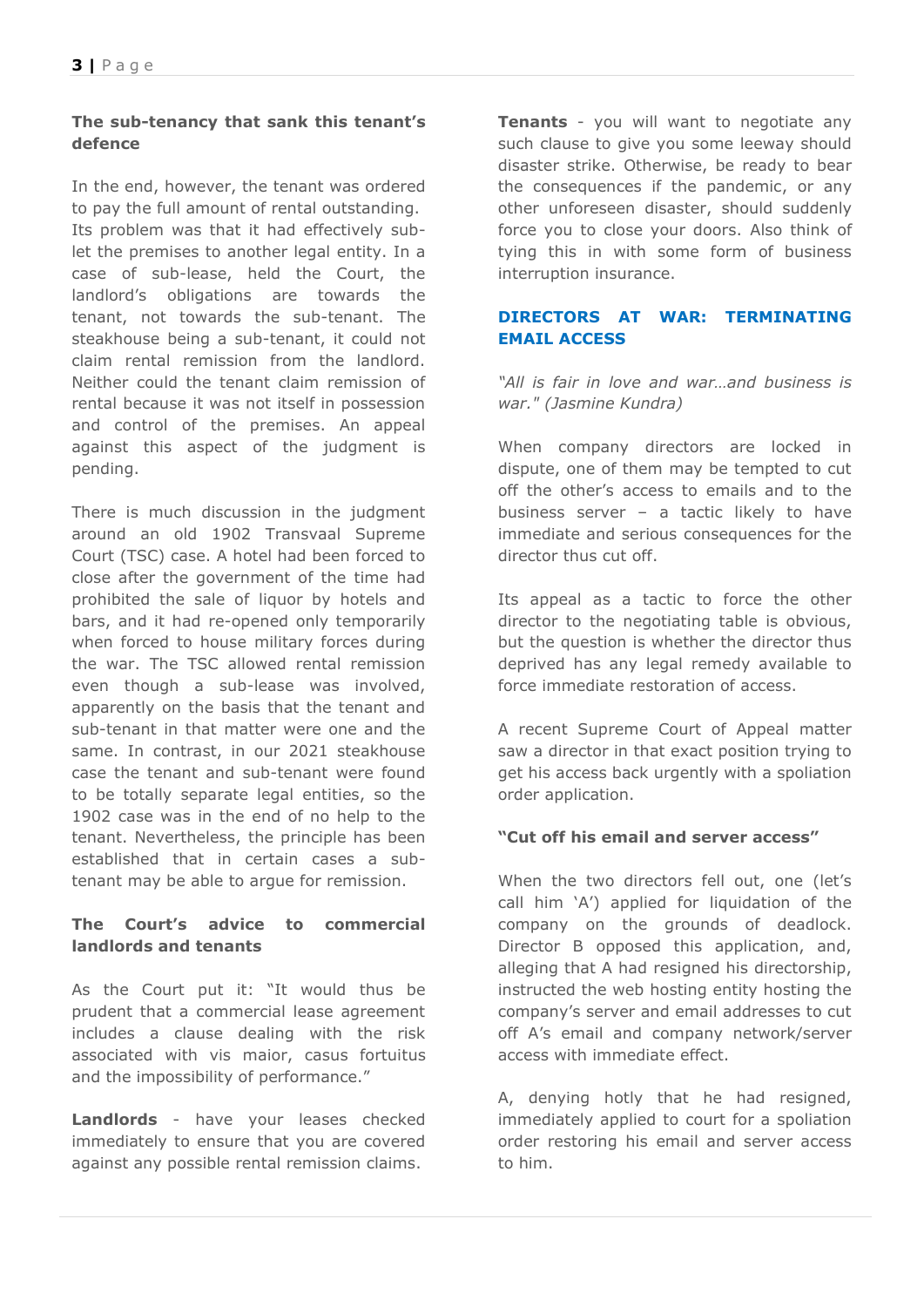## **The sub-tenancy that sank this tenant's defence**

In the end, however, the tenant was ordered to pay the full amount of rental outstanding. Its problem was that it had effectively sublet the premises to another legal entity. In a case of sub-lease, held the Court, the landlord's obligations are towards the tenant, not towards the sub-tenant. The steakhouse being a sub-tenant, it could not claim rental remission from the landlord. Neither could the tenant claim remission of rental because it was not itself in possession and control of the premises. An appeal against this aspect of the judgment is pending.

There is much discussion in the judgment around an old 1902 Transvaal Supreme Court (TSC) case. A hotel had been forced to close after the government of the time had prohibited the sale of liquor by hotels and bars, and it had re-opened only temporarily when forced to house military forces during the war. The TSC allowed rental remission even though a sub-lease was involved, apparently on the basis that the tenant and sub-tenant in that matter were one and the same. In contrast, in our 2021 steakhouse case the tenant and sub-tenant were found to be totally separate legal entities, so the 1902 case was in the end of no help to the tenant. Nevertheless, the principle has been established that in certain cases a subtenant may be able to argue for remission.

## **The Court's advice to commercial landlords and tenants**

As the Court put it: "It would thus be prudent that a commercial lease agreement includes a clause dealing with the risk associated with vis maior, casus fortuitus and the impossibility of performance."

**Landlords** - have your leases checked immediately to ensure that you are covered against any possible rental remission claims.

**Tenants** - you will want to negotiate any such clause to give you some leeway should disaster strike. Otherwise, be ready to bear the consequences if the pandemic, or any other unforeseen disaster, should suddenly force you to close your doors. Also think of tying this in with some form of business interruption insurance.

## **DIRECTORS AT WAR: TERMINATING EMAIL ACCESS**

*"All is fair in love and war…and business is war." (Jasmine Kundra)*

When company directors are locked in dispute, one of them may be tempted to cut off the other's access to emails and to the business server – a tactic likely to have immediate and serious consequences for the director thus cut off.

Its appeal as a tactic to force the other director to the negotiating table is obvious, but the question is whether the director thus deprived has any legal remedy available to force immediate restoration of access.

A recent Supreme Court of Appeal matter saw a director in that exact position trying to get his access back urgently with a spoliation order application.

#### **"Cut off his email and server access"**

When the two directors fell out, one (let's call him 'A') applied for liquidation of the company on the grounds of deadlock. Director B opposed this application, and, alleging that A had resigned his directorship, instructed the web hosting entity hosting the company's server and email addresses to cut off A's email and company network/server access with immediate effect.

A, denying hotly that he had resigned, immediately applied to court for a spoliation order restoring his email and server access to him.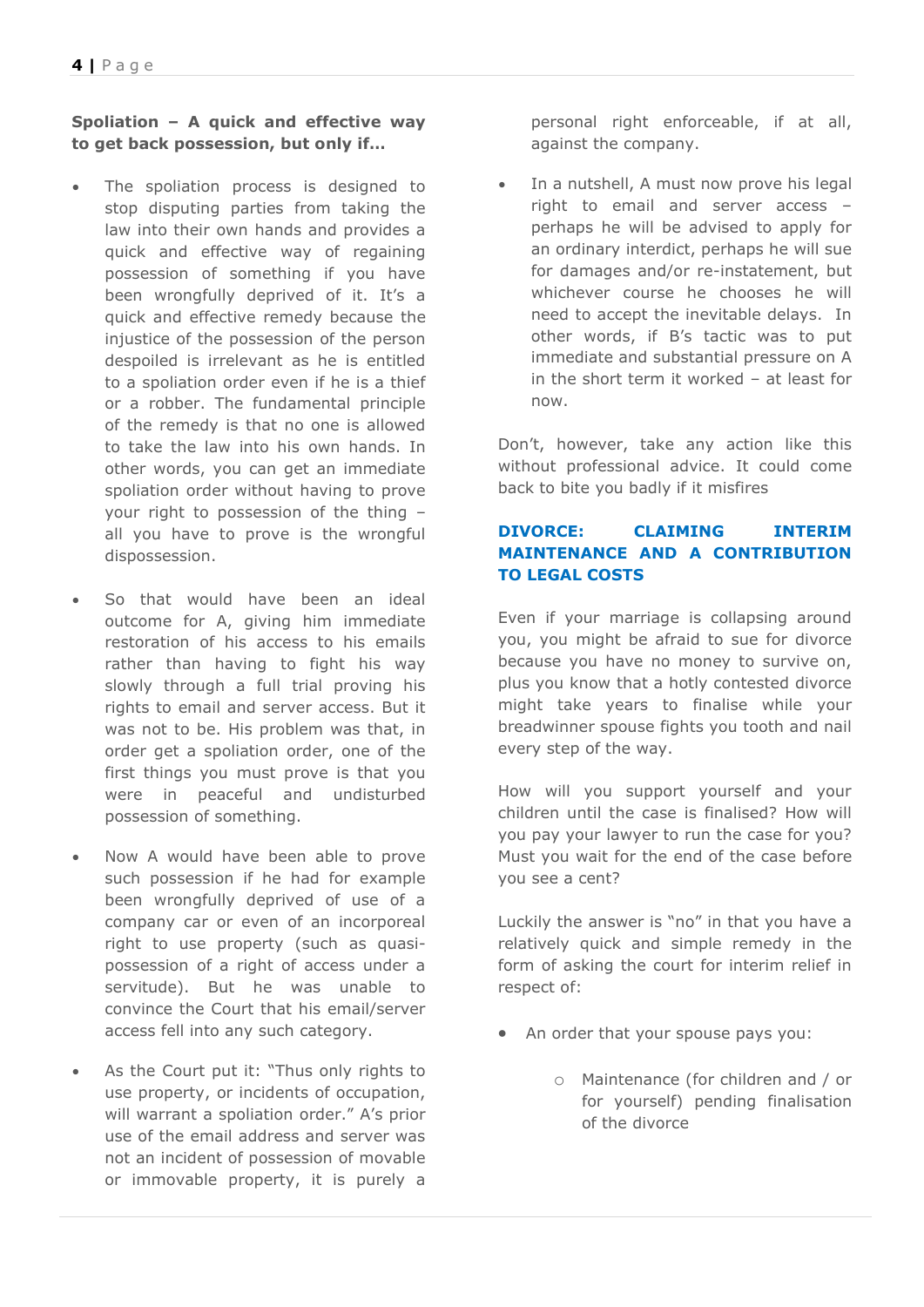**Spoliation – A quick and effective way to get back possession, but only if…**

- The spoliation process is designed to stop disputing parties from taking the law into their own hands and provides a quick and effective way of regaining possession of something if you have been wrongfully deprived of it. It's a quick and effective remedy because the injustice of the possession of the person despoiled is irrelevant as he is entitled to a spoliation order even if he is a thief or a robber. The fundamental principle of the remedy is that no one is allowed to take the law into his own hands. In other words, you can get an immediate spoliation order without having to prove your right to possession of the thing – all you have to prove is the wrongful dispossession.
- So that would have been an ideal outcome for A, giving him immediate restoration of his access to his emails rather than having to fight his way slowly through a full trial proving his rights to email and server access. But it was not to be. His problem was that, in order get a spoliation order, one of the first things you must prove is that you were in peaceful and undisturbed possession of something.
- Now A would have been able to prove such possession if he had for example been wrongfully deprived of use of a company car or even of an incorporeal right to use property (such as quasipossession of a right of access under a servitude). But he was unable to convince the Court that his email/server access fell into any such category.
- As the Court put it: "Thus only rights to use property, or incidents of occupation, will warrant a spoliation order." A's prior use of the email address and server was not an incident of possession of movable or immovable property, it is purely a

personal right enforceable, if at all, against the company.

• In a nutshell, A must now prove his legal right to email and server access – perhaps he will be advised to apply for an ordinary interdict, perhaps he will sue for damages and/or re-instatement, but whichever course he chooses he will need to accept the inevitable delays. In other words, if B's tactic was to put immediate and substantial pressure on A in the short term it worked – at least for now.

Don't, however, take any action like this without professional advice. It could come back to bite you badly if it misfires

## **DIVORCE: CLAIMING INTERIM MAINTENANCE AND A CONTRIBUTION TO LEGAL COSTS**

Even if your marriage is collapsing around you, you might be afraid to sue for divorce because you have no money to survive on, plus you know that a hotly contested divorce might take years to finalise while your breadwinner spouse fights you tooth and nail every step of the way.

How will you support yourself and your children until the case is finalised? How will you pay your lawyer to run the case for you? Must you wait for the end of the case before you see a cent?

Luckily the answer is "no" in that you have a relatively quick and simple remedy in the form of asking the court for interim relief in respect of:

- An order that your spouse pays you:
	- o Maintenance (for children and / or for yourself) pending finalisation of the divorce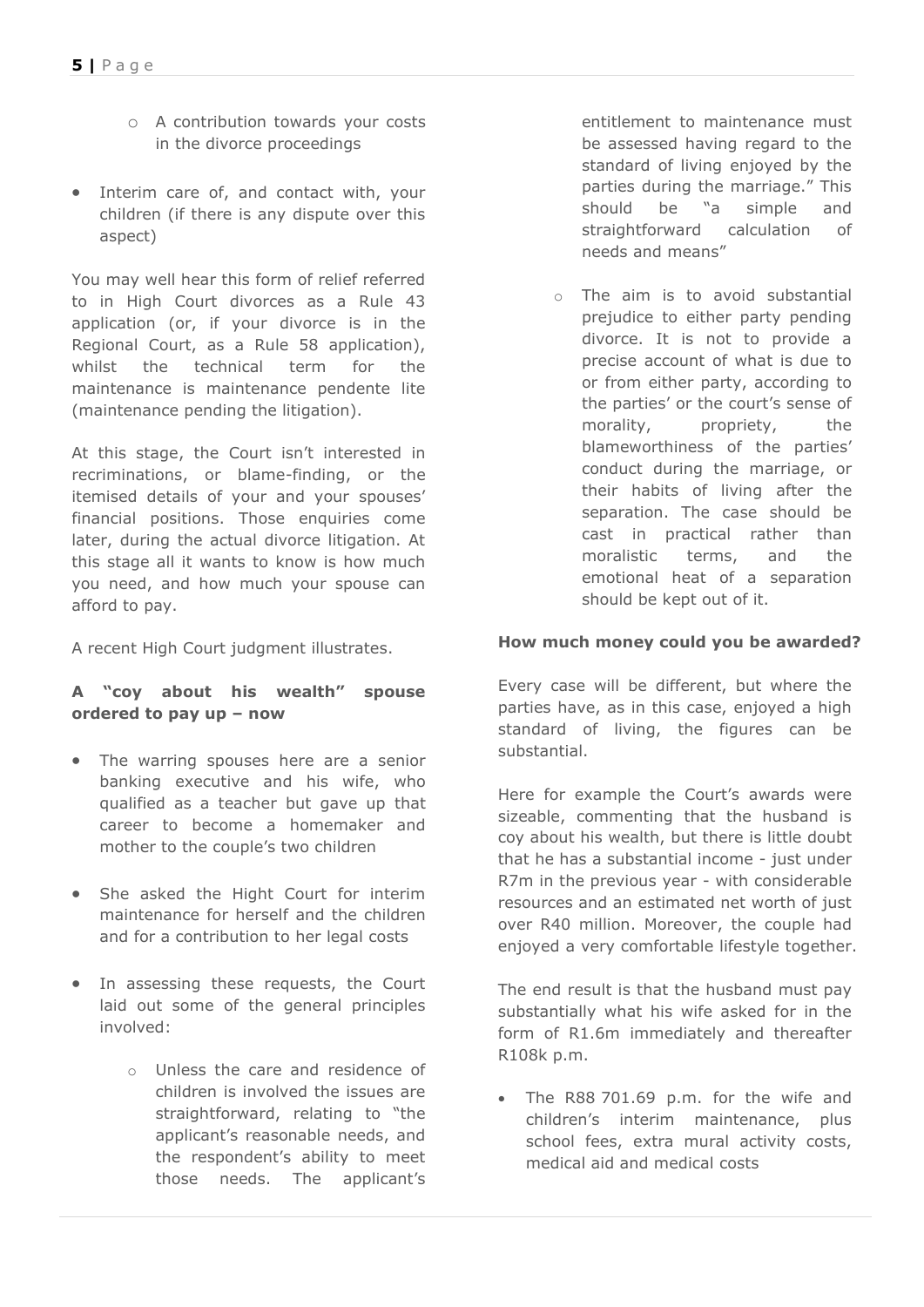- o A contribution towards your costs in the divorce proceedings
- Interim care of, and contact with, your children (if there is any dispute over this aspect)

You may well hear this form of relief referred to in High Court divorces as a Rule 43 application (or, if your divorce is in the Regional Court, as a Rule 58 application), whilst the technical term for the maintenance is maintenance pendente lite (maintenance pending the litigation).

At this stage, the Court isn't interested in recriminations, or blame-finding, or the itemised details of your and your spouses' financial positions. Those enquiries come later, during the actual divorce litigation. At this stage all it wants to know is how much you need, and how much your spouse can afford to pay.

A recent High Court judgment illustrates.

### **A "coy about his wealth" spouse ordered to pay up – now**

- The warring spouses here are a senior banking executive and his wife, who qualified as a teacher but gave up that career to become a homemaker and mother to the couple's two children
- She asked the Hight Court for interim maintenance for herself and the children and for a contribution to her legal costs
- In assessing these requests, the Court laid out some of the general principles involved:
	- o Unless the care and residence of children is involved the issues are straightforward, relating to "the applicant's reasonable needs, and the respondent's ability to meet those needs. The applicant's

entitlement to maintenance must be assessed having regard to the standard of living enjoyed by the parties during the marriage." This should be "a simple and straightforward calculation of needs and means"

o The aim is to avoid substantial prejudice to either party pending divorce. It is not to provide a precise account of what is due to or from either party, according to the parties' or the court's sense of morality, propriety, the blameworthiness of the parties' conduct during the marriage, or their habits of living after the separation. The case should be cast in practical rather than moralistic terms, and the emotional heat of a separation should be kept out of it.

#### **How much money could you be awarded?**

Every case will be different, but where the parties have, as in this case, enjoyed a high standard of living, the figures can be substantial.

Here for example the Court's awards were sizeable, commenting that the husband is coy about his wealth, but there is little doubt that he has a substantial income - just under R7m in the previous year - with considerable resources and an estimated net worth of just over R40 million. Moreover, the couple had enjoyed a very comfortable lifestyle together.

The end result is that the husband must pay substantially what his wife asked for in the form of R1.6m immediately and thereafter R108k p.m.

• The R88 701.69 p.m. for the wife and children's interim maintenance, plus school fees, extra mural activity costs, medical aid and medical costs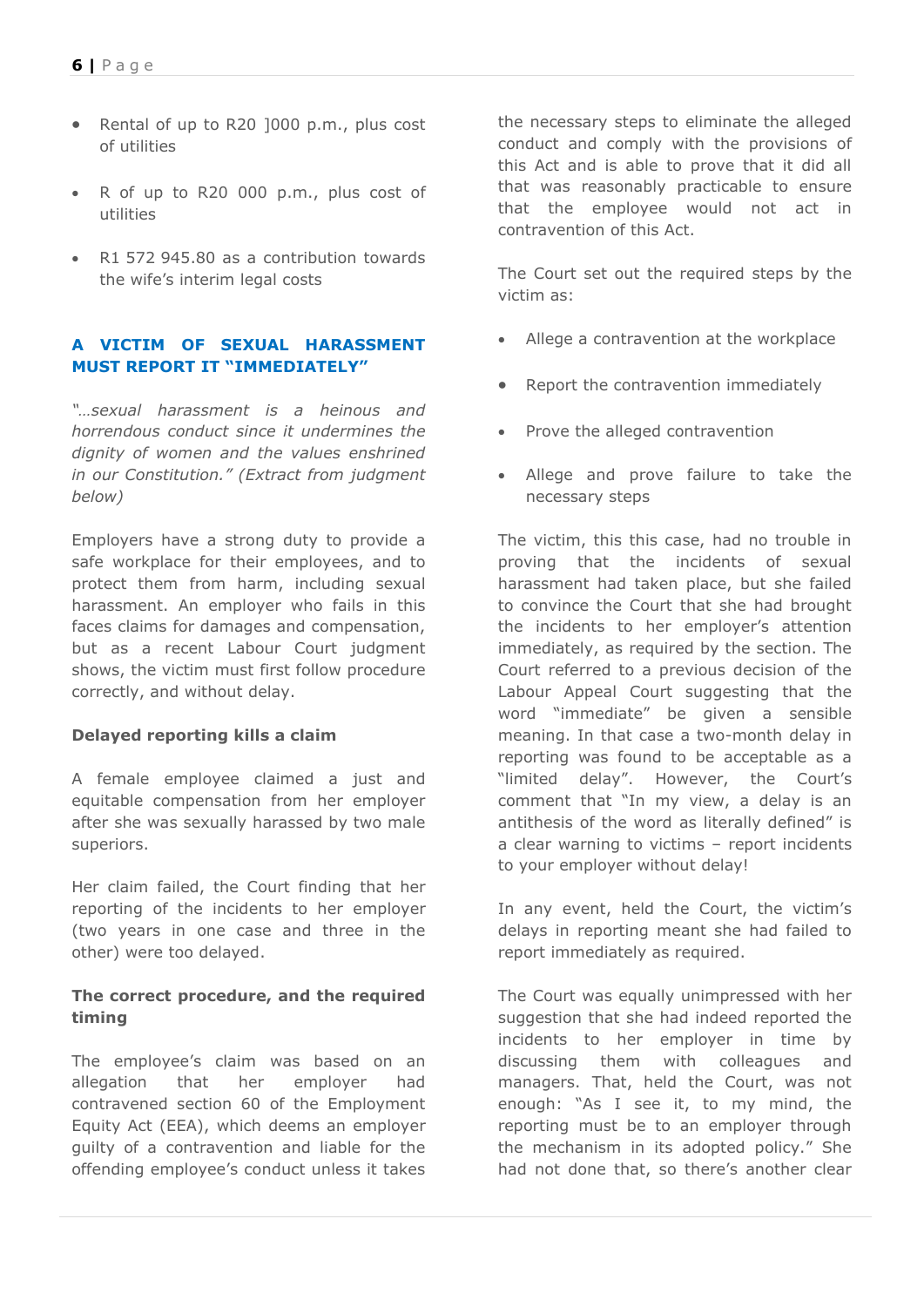- Rental of up to R20 ]000 p.m., plus cost of utilities
- R of up to R20 000 p.m., plus cost of utilities
- R1 572 945.80 as a contribution towards the wife's interim legal costs

## **A VICTIM OF SEXUAL HARASSMENT MUST REPORT IT "IMMEDIATELY"**

*"…sexual harassment is a heinous and horrendous conduct since it undermines the dignity of women and the values enshrined in our Constitution." (Extract from judgment below)*

Employers have a strong duty to provide a safe workplace for their employees, and to protect them from harm, including sexual harassment. An employer who fails in this faces claims for damages and compensation, but as a recent Labour Court judgment shows, the victim must first follow procedure correctly, and without delay.

#### **Delayed reporting kills a claim**

A female employee claimed a just and equitable compensation from her employer after she was sexually harassed by two male superiors.

Her claim failed, the Court finding that her reporting of the incidents to her employer (two years in one case and three in the other) were too delayed.

#### **The correct procedure, and the required timing**

The employee's claim was based on an allegation that her employer had contravened section 60 of the Employment Equity Act (EEA), which deems an employer guilty of a contravention and liable for the offending employee's conduct unless it takes

the necessary steps to eliminate the alleged conduct and comply with the provisions of this Act and is able to prove that it did all that was reasonably practicable to ensure that the employee would not act in contravention of this Act.

The Court set out the required steps by the victim as:

- Allege a contravention at the workplace
- Report the contravention immediately
- Prove the alleged contravention
- Allege and prove failure to take the necessary steps

The victim, this this case, had no trouble in proving that the incidents of sexual harassment had taken place, but she failed to convince the Court that she had brought the incidents to her employer's attention immediately, as required by the section. The Court referred to a previous decision of the Labour Appeal Court suggesting that the word "immediate" be given a sensible meaning. In that case a two-month delay in reporting was found to be acceptable as a "limited delay". However, the Court's comment that "In my view, a delay is an antithesis of the word as literally defined" is a clear warning to victims – report incidents to your employer without delay!

In any event, held the Court, the victim's delays in reporting meant she had failed to report immediately as required.

The Court was equally unimpressed with her suggestion that she had indeed reported the incidents to her employer in time by discussing them with colleagues and managers. That, held the Court, was not enough: "As I see it, to my mind, the reporting must be to an employer through the mechanism in its adopted policy." She had not done that, so there's another clear